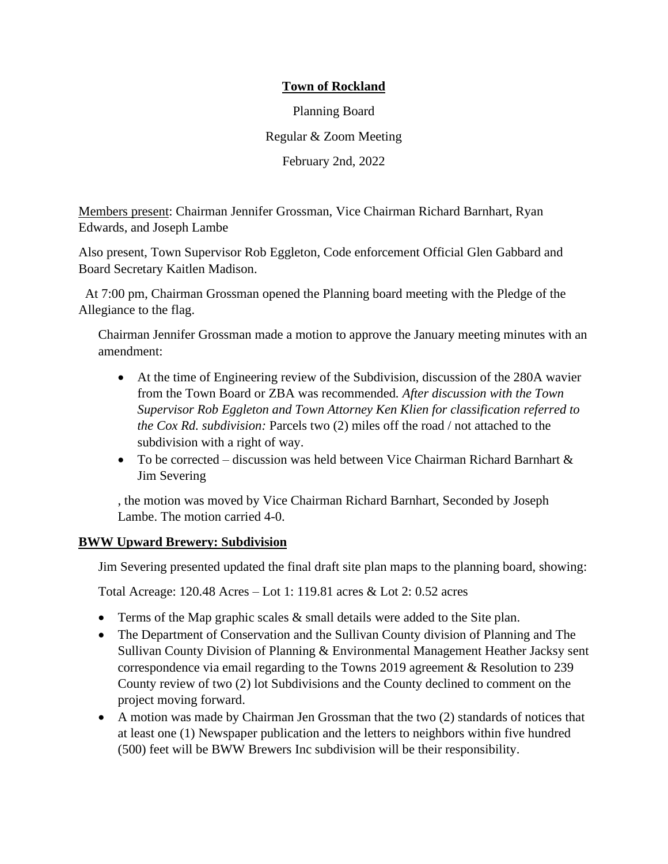# **Town of Rockland**

Planning Board Regular & Zoom Meeting February 2nd, 2022

Members present: Chairman Jennifer Grossman, Vice Chairman Richard Barnhart, Ryan Edwards, and Joseph Lambe

Also present, Town Supervisor Rob Eggleton, Code enforcement Official Glen Gabbard and Board Secretary Kaitlen Madison.

At 7:00 pm, Chairman Grossman opened the Planning board meeting with the Pledge of the Allegiance to the flag.

Chairman Jennifer Grossman made a motion to approve the January meeting minutes with an amendment:

- At the time of Engineering review of the Subdivision, discussion of the 280A wavier from the Town Board or ZBA was recommended*. After discussion with the Town Supervisor Rob Eggleton and Town Attorney Ken Klien for classification referred to the Cox Rd. subdivision:* Parcels two (2) miles off the road / not attached to the subdivision with a right of way.
- To be corrected discussion was held between Vice Chairman Richard Barnhart & Jim Severing

, the motion was moved by Vice Chairman Richard Barnhart, Seconded by Joseph Lambe. The motion carried 4-0.

### **BWW Upward Brewery: Subdivision**

Jim Severing presented updated the final draft site plan maps to the planning board, showing:

Total Acreage: 120.48 Acres – Lot 1: 119.81 acres & Lot 2: 0.52 acres

- Terms of the Map graphic scales  $\&$  small details were added to the Site plan.
- The Department of Conservation and the Sullivan County division of Planning and The Sullivan County Division of Planning & Environmental Management Heather Jacksy sent correspondence via email regarding to the Towns 2019 agreement & Resolution to 239 County review of two (2) lot Subdivisions and the County declined to comment on the project moving forward.
- A motion was made by Chairman Jen Grossman that the two (2) standards of notices that at least one (1) Newspaper publication and the letters to neighbors within five hundred (500) feet will be BWW Brewers Inc subdivision will be their responsibility.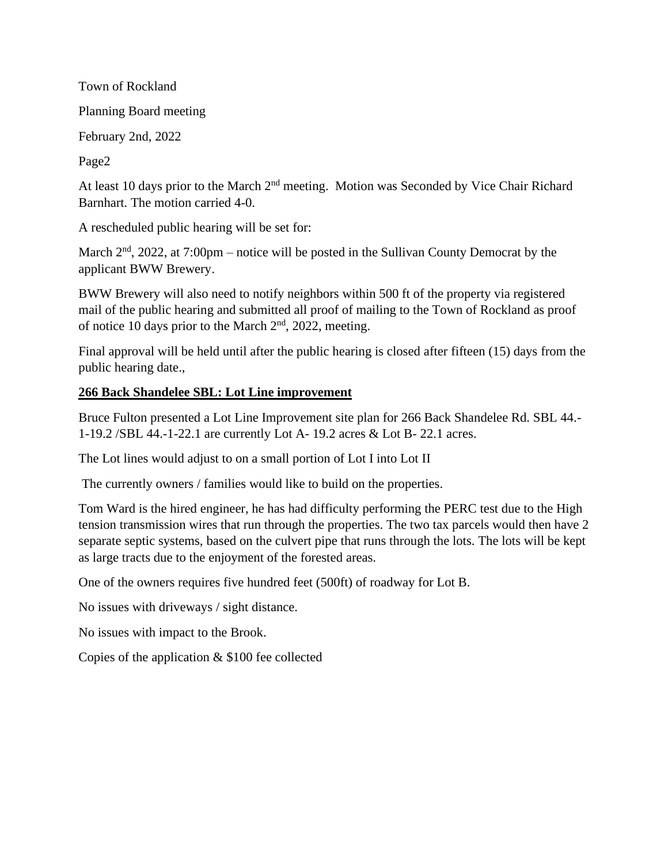Town of Rockland

Planning Board meeting

February 2nd, 2022

Page2

At least 10 days prior to the March 2<sup>nd</sup> meeting. Motion was Seconded by Vice Chair Richard Barnhart. The motion carried 4-0.

A rescheduled public hearing will be set for:

March  $2<sup>nd</sup>$ , 2022, at 7:00pm – notice will be posted in the Sullivan County Democrat by the applicant BWW Brewery.

BWW Brewery will also need to notify neighbors within 500 ft of the property via registered mail of the public hearing and submitted all proof of mailing to the Town of Rockland as proof of notice 10 days prior to the March  $2<sup>nd</sup>$ , 2022, meeting.

Final approval will be held until after the public hearing is closed after fifteen (15) days from the public hearing date.,

# **266 Back Shandelee SBL: Lot Line improvement**

Bruce Fulton presented a Lot Line Improvement site plan for 266 Back Shandelee Rd. SBL 44.- 1-19.2 /SBL 44.-1-22.1 are currently Lot A- 19.2 acres & Lot B- 22.1 acres.

The Lot lines would adjust to on a small portion of Lot I into Lot II

The currently owners / families would like to build on the properties.

Tom Ward is the hired engineer, he has had difficulty performing the PERC test due to the High tension transmission wires that run through the properties. The two tax parcels would then have 2 separate septic systems, based on the culvert pipe that runs through the lots. The lots will be kept as large tracts due to the enjoyment of the forested areas.

One of the owners requires five hundred feet (500ft) of roadway for Lot B.

No issues with driveways / sight distance.

No issues with impact to the Brook.

Copies of the application & \$100 fee collected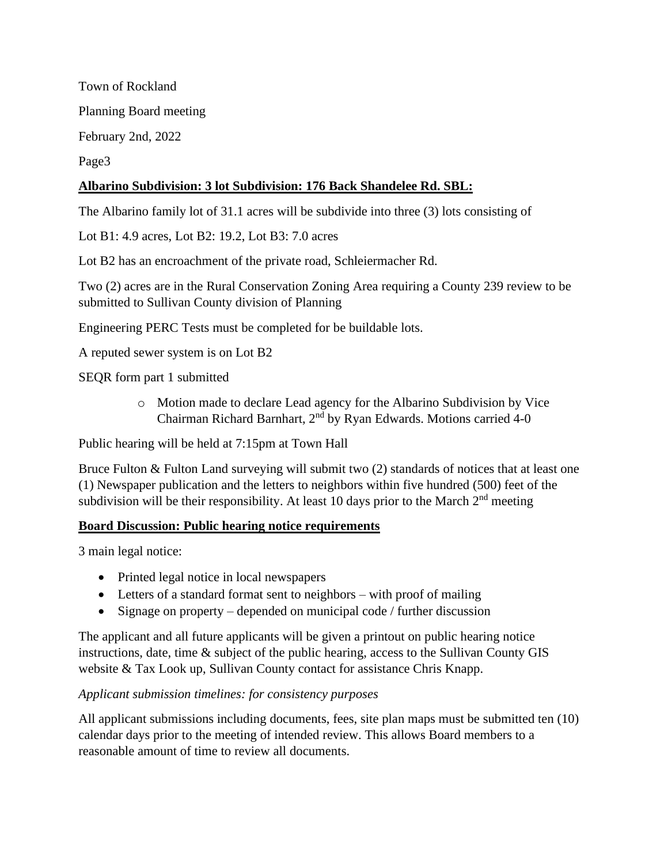Town of Rockland Planning Board meeting February 2nd, 2022 Page3

# **Albarino Subdivision: 3 lot Subdivision: 176 Back Shandelee Rd. SBL:**

The Albarino family lot of 31.1 acres will be subdivide into three (3) lots consisting of

Lot B1: 4.9 acres, Lot B2: 19.2, Lot B3: 7.0 acres

Lot B2 has an encroachment of the private road, Schleiermacher Rd.

Two (2) acres are in the Rural Conservation Zoning Area requiring a County 239 review to be submitted to Sullivan County division of Planning

Engineering PERC Tests must be completed for be buildable lots.

A reputed sewer system is on Lot B2

SEQR form part 1 submitted

o Motion made to declare Lead agency for the Albarino Subdivision by Vice Chairman Richard Barnhart, 2<sup>nd</sup> by Ryan Edwards. Motions carried 4-0

Public hearing will be held at 7:15pm at Town Hall

Bruce Fulton & Fulton Land surveying will submit two (2) standards of notices that at least one (1) Newspaper publication and the letters to neighbors within five hundred (500) feet of the subdivision will be their responsibility. At least 10 days prior to the March  $2<sup>nd</sup>$  meeting

#### **Board Discussion: Public hearing notice requirements**

3 main legal notice:

- Printed legal notice in local newspapers
- Letters of a standard format sent to neighbors with proof of mailing
- Signage on property depended on municipal code / further discussion

The applicant and all future applicants will be given a printout on public hearing notice instructions, date, time & subject of the public hearing, access to the Sullivan County GIS website & Tax Look up, Sullivan County contact for assistance Chris Knapp.

#### *Applicant submission timelines: for consistency purposes*

All applicant submissions including documents, fees, site plan maps must be submitted ten (10) calendar days prior to the meeting of intended review. This allows Board members to a reasonable amount of time to review all documents.